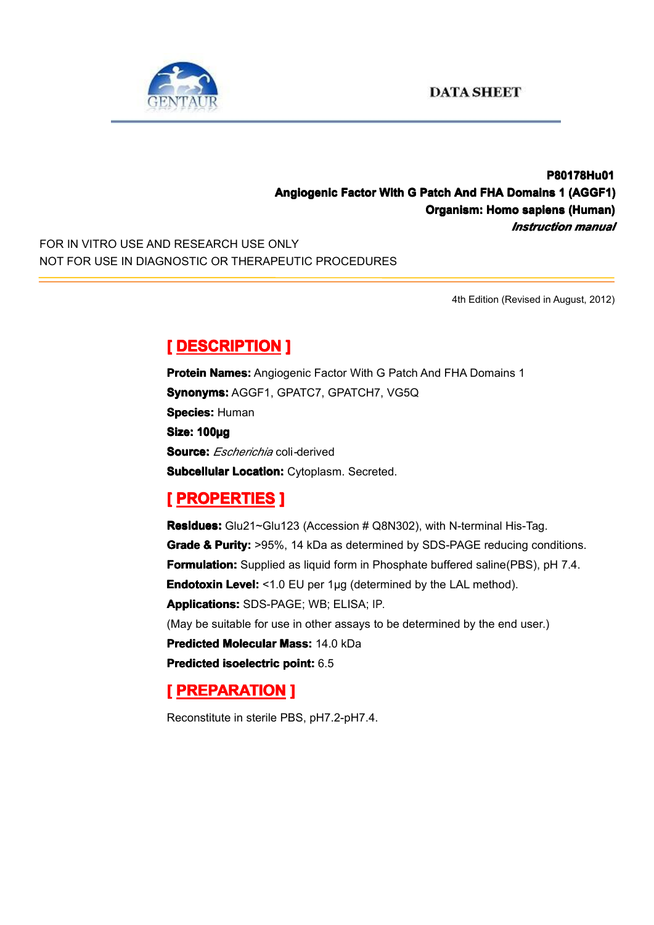

#### **P80178Hu01 P80178Hu01 Angiogenic Factor With G Patch And FHA Domains 1 (AGGF1) Organism: Homo sapiens (Human) (Human)** *Instruction manual*

FOR IN VITRO USE AND RESEARCH USE ONLY NOT FOR USE IN DIAGNOSTIC OR THERAPEUTIC PROCEDURES

4th Edition (Revised in August, 2012)

# $[$  **DESCRIPTION** ]

**Protein Names:** Angiogenic Factor With G Patch And FHA Domains 1 **Synonyms: AGGF1, GPATC7, GPATCH7, VG5Q Species: Human Size: 100µg Source:** *Escherichia* coli*-*derived **Subcellular Location:** Cytoplasm. Secreted.

## **[ PROPERTIES ROPERTIES ROPERTIES]**

**Residues:** Glu21~Glu123 (Accession # Q8N302), with N-terminal His-Tag. **Grade & Purity:** >95%, 14 kDa as determined by SDS-PAGE reducing conditions. **Formulation:** Supplied as liquid form in Phosphate buffered saline(PBS), pH 7.4. **Endotoxin Level:** <1.0 EU per 1µg (determined by the LAL method). **Applications: Applications:**SDS-PAGE; WB; ELISA; IP. (May be suitable for use in other assays to be determined by the end user.) **Predicted Molecular Mass: 14.0 kDa Predicted [isoelectric](app:ds:  isoelectric point) isoelectric point:** 6.5

## **[ PREPARATION PREPARATION PREPARATION]**

Reconstitute in sterile PBS, pH7.2-pH7.4.